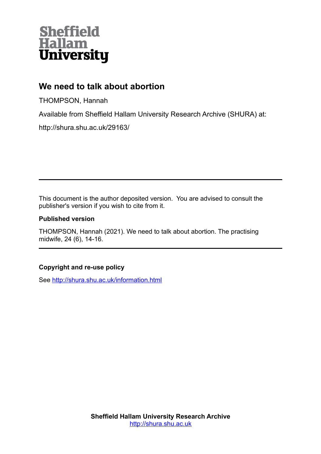

# **We need to talk about abortion**

THOMPSON, Hannah

Available from Sheffield Hallam University Research Archive (SHURA) at:

http://shura.shu.ac.uk/29163/

This document is the author deposited version. You are advised to consult the publisher's version if you wish to cite from it.

## **Published version**

THOMPSON, Hannah (2021). We need to talk about abortion. The practising midwife, 24 (6), 14-16.

# **Copyright and re-use policy**

See<http://shura.shu.ac.uk/information.html>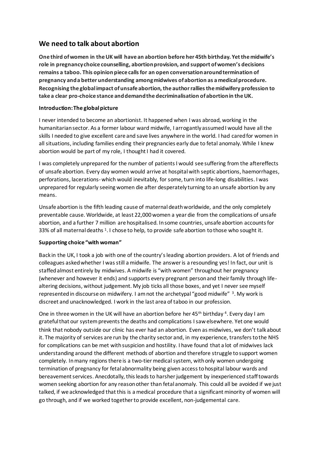# **We need to talk about abortion**

**One third of women in the UK will have an abortion before her 45th birthday. Yet the midwife's role in pregnancy choice counselling, abortion provision, and support of women's decisions remains a taboo. This opinion piece calls for an open conversation around termination of pregnancy and a better understanding among midwives of abortion as a medical procedure. Recognising the global impact of unsafe abortion, the author rallies the midwifery profession to take a clear pro-choice stance and demand the decriminalisation of abortion in the UK.**

## **Introduction: The global picture**

I never intended to become an abortionist. It happened when I was abroad, working in the humanitarian sector. As a former labour ward midwife, I arrogantly assumed I would have all the skills I needed to give excellent care and save lives anywhere in the world. I had cared for women in all situations, including families ending their pregnancies early due to fetal anomaly. While I knew abortion would be part of my role, I thought I had it covered.

I was completely unprepared for the number of patients I would see suffering from the aftereffects of unsafe abortion. Every day women would arrive at hospitalwith septic abortions, haemorrhages, perforations, lacerations-which would inevitably, for some, turn into life-long disabilities. I was unprepared for regularly seeing women die after desperately turning to an unsafe abortion by any means.

Unsafe abortion is the fifth leading cause of maternal death worldwide, and the only completely preventable cause. Worldwide, at least 22,000 women a year die from the complications of unsafe abortion, and a further 7 million are hospitalised. In some countries, unsafe abortion accounts for 33% of all maternal deaths <sup>1</sup>. I chose to help, to provide safe abortion to those who sought it.

## **Supporting choice "with woman"**

Back in the UK, I took a job with one of the country's leading abortion providers. A lot of friends and colleagues asked whether I was still a midwife. The answer is a resounding yes! In fact, our unit is staffed almost entirely by midwives. A midwife is "with women" throughout her pregnancy (whenever and however it ends) and supports every pregnant person and their family through lifealtering decisions, without judgement. My job ticks all those boxes, and yet I never see myself represented in discourse on midwifery. I am not the archetypal "good midwife" <sup>3</sup>. My work is discreet and unacknowledged. I work in the last area of taboo in our profession.

One in three women in the UK will have an abortion before her 45<sup>th</sup> birthday <sup>4</sup>. Every day I am grateful that our system prevents the deaths and complications I saw elsewhere. Yet one would think that nobody outside our clinic has ever had an abortion. Even as midwives, we don't talk about it. The majority of services are run by the charity sector and, in my experience, transfers to the NHS for complications can be met with suspicion and hostility. I have found that a lot of midwives lack understanding around the different methods of abortion and therefore struggle to support women completely. In many regions there is a two-tier medical system, with only women undergoing termination of pregnancy for fetal abnormality being given access to hospital labour wards and bereavement services. Anecdotally, this leads to harsher judgement by inexperienced staff towards women seeking abortion for any reason other than fetal anomaly. This could all be avoided if we just talked, if we acknowledged that this is a medical procedure that a significant minority of women will go through, and if we worked together to provide excellent, non-judgemental care.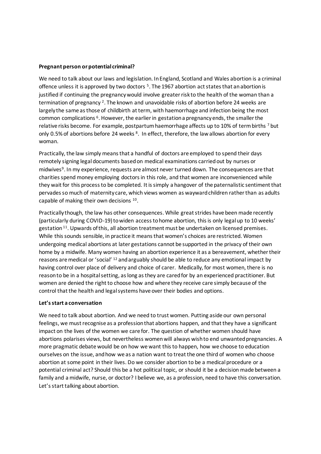#### **Pregnant person or potential criminal?**

We need to talk about our laws and legislation. In England, Scotland and Wales abortion is a criminal offence unless it is approved by two doctors <sup>5</sup>. The 1967 abortion act states that an abortion is justified if continuing the pregnancy would involve greater risk to the health of the woman than a termination of pregnancy <sup>2</sup>. The known and unavoidable risks of abortion before 24 weeks are largely the same as those of childbirth at term, with haemorrhage and infection being the most common complications <sup>6</sup>. However, the earlier in gestation a pregnancy ends, the smaller the relative risks become. For example, postpartum haemorrhage affects up to 10% of term births 7 but only 0.5% of abortions before 24 weeks <sup>8</sup>. In effect, therefore, the law allows abortion for every woman.

Practically, the law simply means that a handful of doctors are employed to spend their days remotely signing legal documents based on medical examinations carried out by nurses or midwives<sup>9</sup>. In my experience, requests are almost never turned down. The consequences are that charities spend money employing doctors in this role, and that women are inconvenienced while they wait for this process to be completed. It is simply a hangover of the paternalistic sentiment that pervades so much of maternity care, which views women as wayward children rather than as adults capable of making their own decisions  $^{10}$ .

Practically though, the law has other consequences. While great strides have been made recently (particularly during COVID-19) to widen access to home abortion, this is only legal up to 10 weeks' gestation<sup>11</sup>. Upwards of this, all abortion treatment must be undertaken on licensed premises. While this sounds sensible, in practice it means that women's choices are restricted. Women undergoing medical abortions at later gestations cannot be supported in the privacy of their own home by a midwife. Many women having an abortion experience it as a bereavement, whether their reasons are medical or 'social' <sup>12</sup> and arguably should be able to reduce any emotional impact by having control over place of delivery and choice of carer. Medically, for most women, there is no reason to be in a hospital setting, as long as they are cared for by an experienced practitioner. But women are denied the right to choose how and where they receive care simply because of the control that the health and legal systems have over their bodies and options.

#### **Let's start a conversation**

We need to talk about abortion. And we need to trust women. Putting aside our own personal feelings, we must recognise as a profession that abortions happen, and that they have a significant impact on the lives of the women we care for. The question of whether women should have abortions polarises views, but nevertheless women will always wish to end unwanted pregnancies. A more pragmatic debate would be on how we want this to happen, how we choose to education ourselves on the issue, and how we as a nation want to treat the one third of women who choose abortion at some point in their lives. Do we consider abortion to be a medical procedure or a potential criminal act? Should this be a hot political topic, or should it be a decision made between a family and a midwife, nurse, or doctor? I believe we, as a profession, need to have this conversation. Let's start talking about abortion.